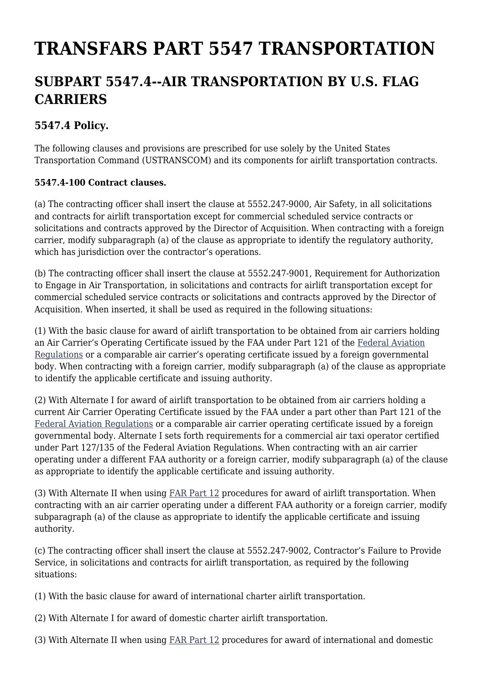## **TRANSFARS PART 5547 TRANSPORTATION**

## **SUBPART 5547.4--AIR TRANSPORTATION BY U.S. FLAG CARRIERS**

## **5547.4 Policy.**

The following clauses and provisions are prescribed for use solely by the United States Transportation Command (USTRANSCOM) and its components for airlift transportation contracts.

## **5547.4-100 Contract clauses.**

(a) The contracting officer shall insert the clause at 5552.247-9000, Air Safety, in all solicitations and contracts for airlift transportation except for commercial scheduled service contracts or solicitations and contracts approved by the Director of Acquisition. When contracting with a foreign carrier, modify subparagraph (a) of the clause as appropriate to identify the regulatory authority, which has jurisdiction over the contractor's operations.

(b) The contracting officer shall insert the clause at 5552.247-9001, Requirement for Authorization to Engage in Air Transportation, in solicitations and contracts for airlift transportation except for commercial scheduled service contracts or solicitations and contracts approved by the Director of Acquisition. When inserted, it shall be used as required in the following situations:

(1) With the basic clause for award of airlift transportation to be obtained from air carriers holding an Air Carrier's Operating Certificate issued by the FAA under Part 121 of the [Federal Aviation](http://www.airweb.faa.gov/Regulatory_and_Guidance_Library/rgFAR.nsf/MainFrame?OpenFrameSet) [Regulations](http://www.airweb.faa.gov/Regulatory_and_Guidance_Library/rgFAR.nsf/MainFrame?OpenFrameSet) or a comparable air carrier's operating certificate issued by a foreign governmental body. When contracting with a foreign carrier, modify subparagraph (a) of the clause as appropriate to identify the applicable certificate and issuing authority.

(2) With Alternate I for award of airlift transportation to be obtained from air carriers holding a current Air Carrier Operating Certificate issued by the FAA under a part other than Part 121 of the [Federal Aviation Regulations](http://www.airweb.faa.gov/Regulatory_and_Guidance_Library/rgFAR.nsf/MainFrame?OpenFrameSet) or a comparable air carrier operating certificate issued by a foreign governmental body. Alternate I sets forth requirements for a commercial air taxi operator certified under Part 127/135 of the Federal Aviation Regulations. When contracting with an air carrier operating under a different FAA authority or a foreign carrier, modify subparagraph (a) of the clause as appropriate to identify the applicable certificate and issuing authority.

(3) With Alternate II when using [FAR Part 12](https://www.acquisition.gov/far/part-12) procedures for award of airlift transportation. When contracting with an air carrier operating under a different FAA authority or a foreign carrier, modify subparagraph (a) of the clause as appropriate to identify the applicable certificate and issuing authority.

(c) The contracting officer shall insert the clause at 5552.247-9002, Contractor's Failure to Provide Service, in solicitations and contracts for airlift transportation, as required by the following situations:

(1) With the basic clause for award of international charter airlift transportation.

- (2) With Alternate I for award of domestic charter airlift transportation.
- (3) With Alternate II when using [FAR Part 12](https://www.acquisition.gov/far/part-12) procedures for award of international and domestic